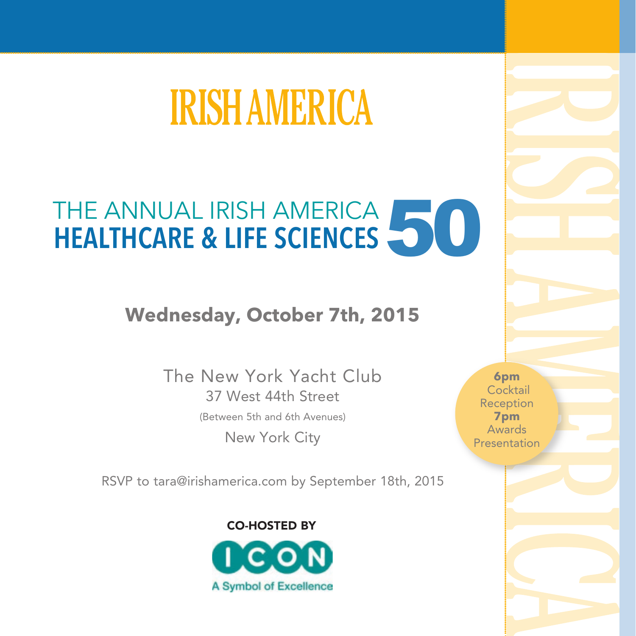# **IRISH AMERICA**

## THE ANNUAL IRISH AMERICA NEALTHCARE & LIFE SCIENCES **HEALTHCARE & LIFE SCIENCES**

## **Wednesday, October 7th, 2015**

The New York Yacht Club 37 West 44th Street (Between 5th and 6th Avenues) New York City

RSVP to tara@irishamerica.com by September 18th, 2015

CO-HOSTED BY



**6pm** Cocktail Reception **7pm** Awards Presentation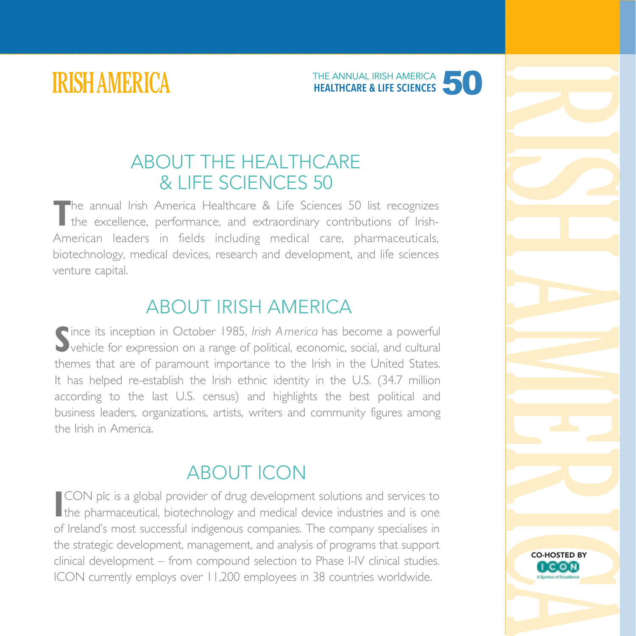**IRISH AMERICA** 



### ABOUT THE HEALTHCARE & LIFE SCIENCES 50

The annual Irish America Healthcare & Life Sciences 50 list recognizes<br>the excellence, performance, and extraordinary contributions of Irish-American leaders in fields including medical care, pharmaceuticals, biotechnology, medical devices, research and development, and life sciences venture capital.

### ABOUT IRISH AMERICA

Since its inception in October 1985, *Irish America* has become a powerful<br>Sylvehicle for expression on a range of political, economic, social, and cultural ince its inception in October 1985, *Irish America* has become a powerful themes that are of paramount importance to the Irish in the United States. It has helped re-establish the Irish ethnic identity in the U.S. (34.7 million according to the last U.S. census) and highlights the best political and business leaders, organizations, artists, writers and community figures among the Irish in America.

## ABOUT ICON

**II** CON plc is a global provider of drug development solutions and services to the pharmaceutical, biotechnology and medical device industries and is one CON plc is a global provider of drug development solutions and services to of Ireland's most successful indigenous companies. The company specialises in the strategic development, management, and analysis of programs that support clinical development – from compound selection to Phase I-IV clinical studies. ICON currently employs over 11,200 employees in 38 countries worldwide.

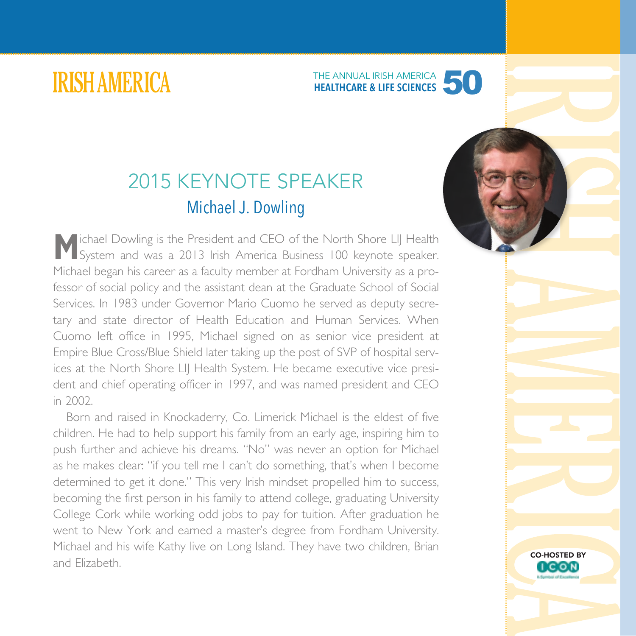## **IRISH AMERICA**

## 50 THE ANNUAL IRISH AMERICA **HEALTHCARE & LIFE SCIENCES**

## 2015 KEYNOTE SPEAKER Michael J. Dowling

**M**ichael Dowling is the President and CEO of the North Shore LIJ Health System and was a 2013 Irish America Business 100 keynote speaker. Michael began his career as a faculty member at Fordham University as a professor of social policy and the assistant dean at the Graduate School of Social Services. In 1983 under Governor Mario Cuomo he served as deputy secretary and state director of Health Education and Human Services. When Cuomo left office in 1995, Michael signed on as senior vice president at Empire Blue Cross/Blue Shield later taking up the post of SVP of hospital services at the North Shore LIJ Health System. He became executive vice president and chief operating officer in 1997, and was named president and CEO in 2002.

Born and raised in Knockaderry, Co. Limerick Michael is the eldest of five children. He had to help support his family from an early age, inspiring him to push further and achieve his dreams. "No" was never an option for Michael as he makes clear: "if you tell me I can't do something, that's when I become determined to get it done." This very Irish mindset propelled him to success, becoming the first person in his family to attend college, graduating University College Cork while working odd jobs to pay for tuition. After graduation he went to New York and earned a master's degree from Fordham University. Michael and his wife Kathy live on Long Island. They have two children, Brian and Elizabeth.



CO-HOSTED BY

**LCON**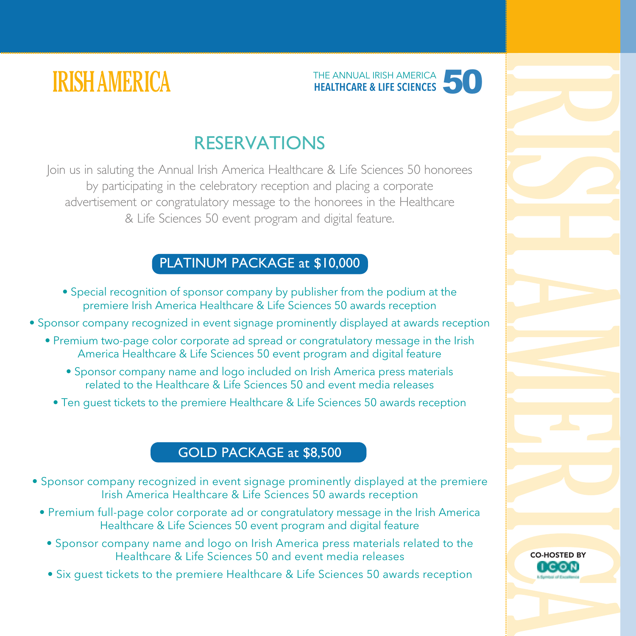



### RESERVATIONS

Join us in saluting the Annual Irish America Healthcare & Life Sciences 50 honorees by participating in the celebratory reception and placing a corporate advertisement or congratulatory message to the honorees in the Healthcare & Life Sciences 50 event program and digital feature.

#### PLATINUM PACKAGE at \$10,000

- Special recognition of sponsor company by publisher from the podium at the premiere Irish America Healthcare & Life Sciences 50 awards reception
- Sponsor company recognized in event signage prominently displayed at awards reception
	- Premium two-page color corporate ad spread or congratulatory message in the Irish America Healthcare & Life Sciences 50 event program and digital feature
		- Sponsor company name and logo included on Irish America press materials related to the Healthcare & Life Sciences 50 and event media releases
		- Ten guest tickets to the premiere Healthcare & Life Sciences 50 awards reception

#### GOLD PACKAGE at \$8,500

- Sponsor company recognized in event signage prominently displayed at the premiere Irish America Healthcare & Life Sciences 50 awards reception
	- Premium full-page color corporate ad or congratulatory message in the Irish America Healthcare & Life Sciences 50 event program and digital feature
		- Sponsor company name and logo on Irish America press materials related to the Healthcare & Life Sciences 50 and event media releases
		- Six guest tickets to the premiere Healthcare & Life Sciences 50 awards reception

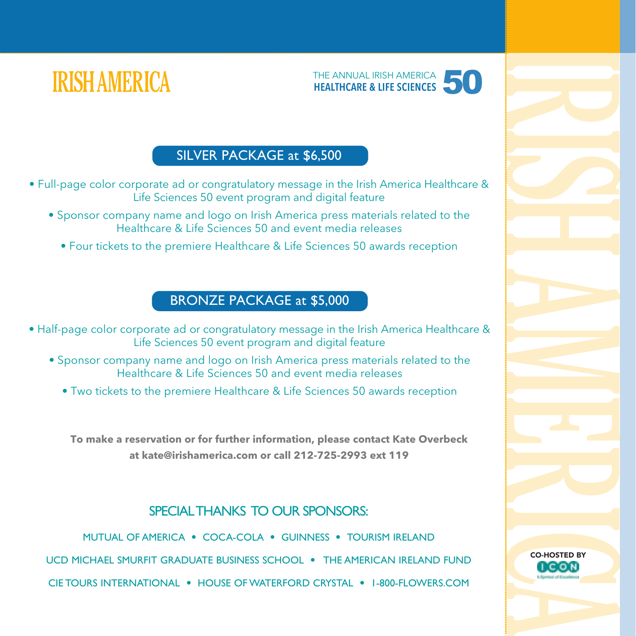

CO-HOSTED BY

I C O N

## **IRISH AMERICA**

#### SILVER PACKAGE at \$6,500

• Full-page color corporate ad or congratulatory message in the Irish America Healthcare & Life Sciences 50 event program and digital feature

- Sponsor company name and logo on Irish America press materials related to the Healthcare & Life Sciences 50 and event media releases
	- Four tickets to the premiere Healthcare & Life Sciences 50 awards reception

#### BRONZE PACKAGE at \$5,000

• Half-page color corporate ad or congratulatory message in the Irish America Healthcare & Life Sciences 50 event program and digital feature

- Sponsor company name and logo on Irish America press materials related to the Healthcare & Life Sciences 50 and event media releases
	- Two tickets to the premiere Healthcare & Life Sciences 50 awards reception

**To make a reservation or for further information, please contact Kate Overbeck at kate@irishamerica.com or call 212-725-2993 ext 119**

#### SPECIAL THANKS TO OUR SPONSORS:

MUTUAL OF AMERICA • COCA-COLA • GUINNESS • TOURISM IRELAND UCD MICHAEL SMURFIT GRADUATE BUSINESS SCHOOL • THE AMERICAN IRELAND FUND CIE TOURS INTERNATIONAL • HOUSE OF WATERFORD CRYSTAL • 1-800-FLOWERS.COM